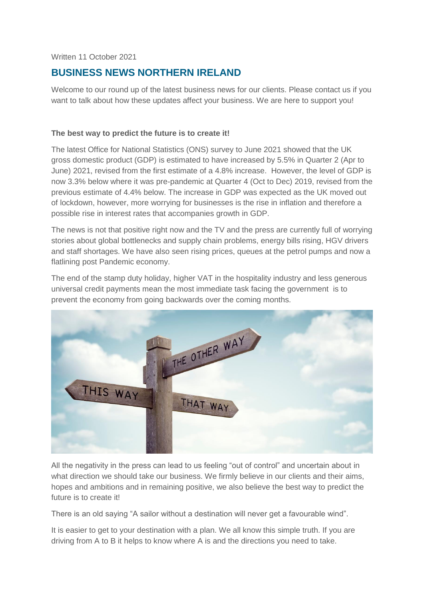Written 11 October 2021

# **BUSINESS NEWS NORTHERN IRELAND**

Welcome to our round up of the latest business news for our clients. Please contact us if you want to talk about how these updates affect your business. We are here to support you!

## **The best way to predict the future is to create it!**

The latest Office for National Statistics (ONS) survey to June 2021 showed that the UK gross domestic product (GDP) is estimated to have increased by 5.5% in Quarter 2 (Apr to June) 2021, revised from the first estimate of a 4.8% increase. However, the level of GDP is now 3.3% below where it was pre-pandemic at Quarter 4 (Oct to Dec) 2019, revised from the previous estimate of 4.4% below. The increase in GDP was expected as the UK moved out of lockdown, however, more worrying for businesses is the rise in inflation and therefore a possible rise in interest rates that accompanies growth in GDP.

The news is not that positive right now and the TV and the press are currently full of worrying stories about global bottlenecks and supply chain problems, energy bills rising, HGV drivers and staff shortages. We have also seen rising prices, queues at the petrol pumps and now a flatlining post Pandemic economy.

The end of the stamp duty holiday, higher VAT in the hospitality industry and less generous universal credit payments mean the most immediate task facing the government is to prevent the economy from going backwards over the coming months.



All the negativity in the press can lead to us feeling "out of control" and uncertain about in what direction we should take our business. We firmly believe in our clients and their aims, hopes and ambitions and in remaining positive, we also believe the best way to predict the future is to create it!

There is an old saying "A sailor without a destination will never get a favourable wind".

It is easier to get to your destination with a plan. We all know this simple truth. If you are driving from A to B it helps to know where A is and the directions you need to take.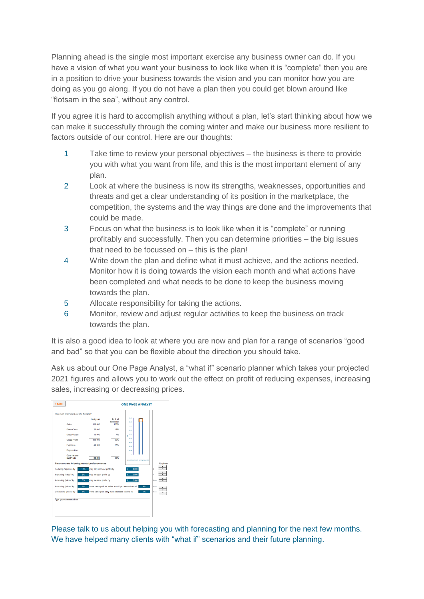Planning ahead is the single most important exercise any business owner can do. If you have a vision of what you want your business to look like when it is "complete" then you are in a position to drive your business towards the vision and you can monitor how you are doing as you go along. If you do not have a plan then you could get blown around like "flotsam in the sea", without any control.

If you agree it is hard to accomplish anything without a plan, let's start thinking about how we can make it successfully through the coming winter and make our business more resilient to factors outside of our control. Here are our thoughts:

- 1 Take time to review your personal objectives the business is there to provide you with what you want from life, and this is the most important element of any plan.
- 2 Look at where the business is now its strengths, weaknesses, opportunities and threats and get a clear understanding of its position in the marketplace, the competition, the systems and the way things are done and the improvements that could be made.
- 3 Focus on what the business is to look like when it is "complete" or running profitably and successfully. Then you can determine priorities – the big issues that need to be focussed on – this is the plan!
- 4 Write down the plan and define what it must achieve, and the actions needed. Monitor how it is doing towards the vision each month and what actions have been completed and what needs to be done to keep the business moving towards the plan.
- 5 Allocate responsibility for taking the actions.
- 6 Monitor, review and adjust regular activities to keep the business on track towards the plan.

It is also a good idea to look at where you are now and plan for a range of scenarios "good and bad" so that you can be flexible about the direction you should take.

Ask us about our One Page Analyst, a "what if" scenario planner which takes your projected 2021 figures and allows you to work out the effect on profit of reducing expenses, increasing sales, increasing or decreasing prices.



Please talk to us about helping you with forecasting and planning for the next few months. We have helped many clients with "what if" scenarios and their future planning.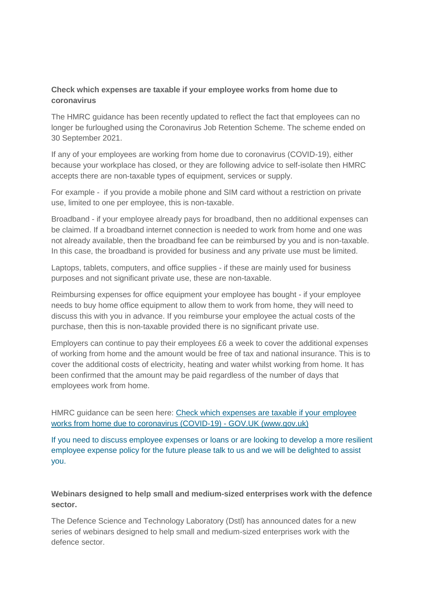# **Check which expenses are taxable if your employee works from home due to coronavirus**

The HMRC guidance has been recently updated to reflect the fact that employees can no longer be furloughed using the Coronavirus Job Retention Scheme. The scheme ended on 30 September 2021.

If any of your employees are working from home due to coronavirus (COVID-19), either because your workplace has closed, or they are following advice to self-isolate then HMRC accepts there are non-taxable types of equipment, services or supply.

For example - if you provide a mobile phone and SIM card without a restriction on private use, limited to one per employee, this is non-taxable.

Broadband - if your employee already pays for broadband, then no additional expenses can be claimed. If a broadband internet connection is needed to work from home and one was not already available, then the broadband fee can be reimbursed by you and is non-taxable. In this case, the broadband is provided for business and any private use must be limited.

Laptops, tablets, computers, and office supplies - if these are mainly used for business purposes and not significant private use, these are non-taxable.

Reimbursing expenses for office equipment your employee has bought - if your employee needs to buy home office equipment to allow them to work from home, they will need to discuss this with you in advance. If you reimburse your employee the actual costs of the purchase, then this is non-taxable provided there is no significant private use.

Employers can continue to pay their employees £6 a week to cover the additional expenses of working from home and the amount would be free of tax and national insurance. This is to cover the additional costs of electricity, heating and water whilst working from home. It has been confirmed that the amount may be paid regardless of the number of days that employees work from home.

HMRC guidance can be seen here: [Check which expenses are taxable if your employee](https://www.gov.uk/guidance/check-which-expenses-are-taxable-if-your-employee-works-from-home-due-to-coronavirus-covid-19?utm_medium=email&utm_campaign=govuk-notifications&utm_source=8ff74a17-d33a-45b3-a3a8-5e8c1fa7acf4&utm_content=daily)  works from home [due to coronavirus \(COVID-19\) -](https://www.gov.uk/guidance/check-which-expenses-are-taxable-if-your-employee-works-from-home-due-to-coronavirus-covid-19?utm_medium=email&utm_campaign=govuk-notifications&utm_source=8ff74a17-d33a-45b3-a3a8-5e8c1fa7acf4&utm_content=daily) GOV.UK (www.gov.uk)

If you need to discuss employee expenses or loans or are looking to develop a more resilient employee expense policy for the future please talk to us and we will be delighted to assist you.

# **Webinars designed to help small and medium-sized enterprises work with the defence sector.**

The Defence Science and Technology Laboratory (Dstl) has announced dates for a new series of webinars designed to help small and medium-sized enterprises work with the defence sector.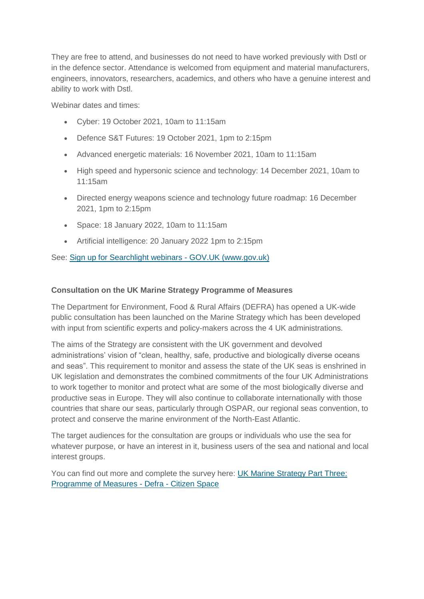They are free to attend, and businesses do not need to have worked previously with Dstl or in the defence sector. Attendance is welcomed from equipment and material manufacturers, engineers, innovators, researchers, academics, and others who have a genuine interest and ability to work with Dstl.

Webinar dates and times:

- Cyber: 19 October 2021, 10am to 11:15am
- Defence S&T Futures: 19 October 2021, 1pm to 2:15pm
- Advanced energetic materials: 16 November 2021, 10am to 11:15am
- High speed and hypersonic science and technology: 14 December 2021, 10am to 11:15am
- Directed energy weapons science and technology future roadmap: 16 December 2021, 1pm to 2:15pm
- Space: 18 January 2022, 10am to 11:15am
- Artificial intelligence: 20 January 2022 1pm to 2:15pm

See: [Sign up for Searchlight webinars -](https://www.gov.uk/government/news/sign-up-for-searchlight-webinars) GOV.UK (www.gov.uk)

## **Consultation on the UK Marine Strategy Programme of Measures**

The Department for Environment, Food & Rural Affairs (DEFRA) has opened a UK-wide public consultation has been launched on the Marine Strategy which has been developed with input from scientific experts and policy-makers across the 4 UK administrations.

The aims of the Strategy are consistent with the UK government and devolved administrations' vision of "clean, healthy, safe, productive and biologically diverse oceans and seas". This requirement to monitor and assess the state of the UK seas is enshrined in UK legislation and demonstrates the combined commitments of the four UK Administrations to work together to monitor and protect what are some of the most biologically diverse and productive seas in Europe. They will also continue to collaborate internationally with those countries that share our seas, particularly through OSPAR, our regional seas convention, to protect and conserve the marine environment of the North-East Atlantic.

The target audiences for the consultation are groups or individuals who use the sea for whatever purpose, or have an interest in it, business users of the sea and national and local interest groups.

You can find out more and complete the survey here: [UK Marine Strategy Part Three:](https://consult.defra.gov.uk/uk-marine-strategy-programme-of-measures-3/uk-marine-strategy-part-3/)  [Programme of Measures -](https://consult.defra.gov.uk/uk-marine-strategy-programme-of-measures-3/uk-marine-strategy-part-3/) Defra - Citizen Space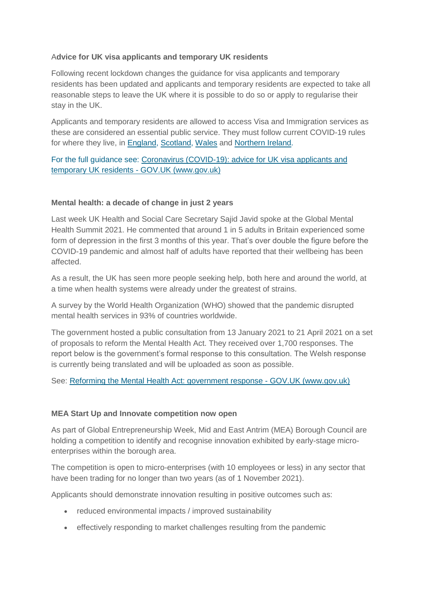# A**dvice for UK visa applicants and temporary UK residents**

Following recent lockdown changes the guidance for visa applicants and temporary residents has been updated and applicants and temporary residents are expected to take all reasonable steps to leave the UK where it is possible to do so or apply to regularise their stay in the UK.

Applicants and temporary residents are allowed to access Visa and Immigration services as these are considered an essential public service. They must follow current COVID-19 rules for where they live, in [England,](https://www.gov.uk/guidance/covid-19-coronavirus-restrictions-what-you-can-and-cannot-do) [Scotland,](https://www.gov.scot/coronavirus-covid-19) [Wales](https://gov.wales/coronavirus) and [Northern Ireland.](https://www.nidirect.gov.uk/articles/coronavirus-covid-19-regulations-guidance-what-restrictions-mean-you)

For the full guidance see: [Coronavirus \(COVID-19\): advice for UK visa applicants and](https://www.gov.uk/guidance/coronavirus-covid-19-advice-for-uk-visa-applicants-and-temporary-uk-residents?utm_medium=email&utm_campaign=govuk-notifications&utm_source=90760fae-7047-4250-a264-a5e23e15a142&utm_content=daily)  [temporary UK residents -](https://www.gov.uk/guidance/coronavirus-covid-19-advice-for-uk-visa-applicants-and-temporary-uk-residents?utm_medium=email&utm_campaign=govuk-notifications&utm_source=90760fae-7047-4250-a264-a5e23e15a142&utm_content=daily) GOV.UK (www.gov.uk)

## **Mental health: a decade of change in just 2 years**

Last week UK Health and Social Care Secretary Sajid Javid spoke at the Global Mental Health Summit 2021. He commented that around 1 in 5 adults in Britain experienced some form of depression in the first 3 months of this year. That's over double the figure before the COVID-19 pandemic and almost half of adults have reported that their wellbeing has been affected.

As a result, the UK has seen more people seeking help, both here and around the world, at a time when health systems were already under the greatest of strains.

A survey by the World Health Organization (WHO) showed that the pandemic disrupted mental health services in 93% of countries worldwide.

The government hosted a public consultation from 13 January 2021 to 21 April 2021 on a set of proposals to reform the Mental Health Act. They received over 1,700 responses. The report below is the government's formal response to this consultation. The Welsh response is currently being translated and will be uploaded as soon as possible.

## See: [Reforming the Mental Health Act: government response -](https://www.gov.uk/government/consultations/reforming-the-mental-health-act/outcome/reforming-the-mental-health-act-government-response) GOV.UK (www.gov.uk)

## **MEA Start Up and Innovate competition now open**

As part of Global Entrepreneurship Week, Mid and East Antrim (MEA) Borough Council are holding a competition to identify and recognise innovation exhibited by early-stage microenterprises within the borough area.

The competition is open to micro-enterprises (with 10 employees or less) in any sector that have been trading for no longer than two years (as of 1 November 2021).

Applicants should demonstrate innovation resulting in positive outcomes such as:

- reduced environmental impacts / improved sustainability
- effectively responding to market challenges resulting from the pandemic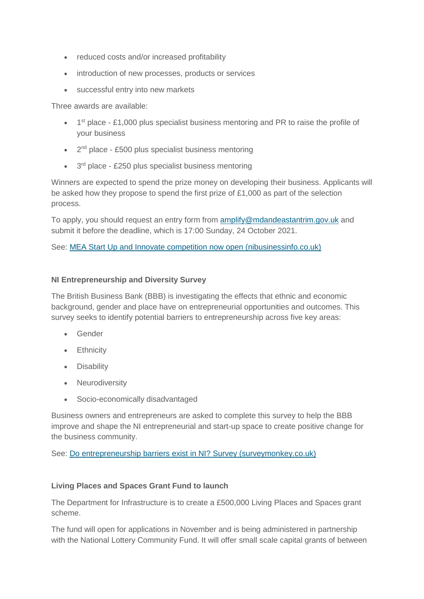- reduced costs and/or increased profitability
- introduction of new processes, products or services
- successful entry into new markets

Three awards are available:

- $\bullet$  1<sup>st</sup> place £1,000 plus specialist business mentoring and PR to raise the profile of your business
- $\bullet$  2<sup>nd</sup> place £500 plus specialist business mentoring
- $\bullet$  3<sup>rd</sup> place £250 plus specialist business mentoring

Winners are expected to spend the prize money on developing their business. Applicants will be asked how they propose to spend the first prize of £1,000 as part of the selection process.

To apply, you should request an entry form from **[amplify@mdandeastantrim.gov.uk](mailto:amplify@mdandeastantrim.gov.uk)** and submit it before the deadline, which is 17:00 Sunday, 24 October 2021.

See: [MEA Start Up and Innovate competition now open \(nibusinessinfo.co.uk\)](https://www.nibusinessinfo.co.uk/content/mea-start-and-innovate-competition-now-open)

## **NI Entrepreneurship and Diversity Survey**

The British Business Bank (BBB) is investigating the effects that ethnic and economic background, gender and place have on entrepreneurial opportunities and outcomes. This survey seeks to identify potential barriers to entrepreneurship across five key areas:

- Gender
- Ethnicity
- Disability
- Neurodiversity
- Socio-economically disadvantaged

Business owners and entrepreneurs are asked to complete this survey to help the BBB improve and shape the NI entrepreneurial and start-up space to create positive change for the business community.

See: [Do entrepreneurship barriers exist in NI? Survey \(surveymonkey.co.uk\)](https://www.surveymonkey.co.uk/r/NZKRRN5)

## **Living Places and Spaces Grant Fund to launch**

The Department for Infrastructure is to create a £500,000 Living Places and Spaces grant scheme.

The fund will open for applications in November and is being administered in partnership with the National Lottery Community Fund. It will offer small scale capital grants of between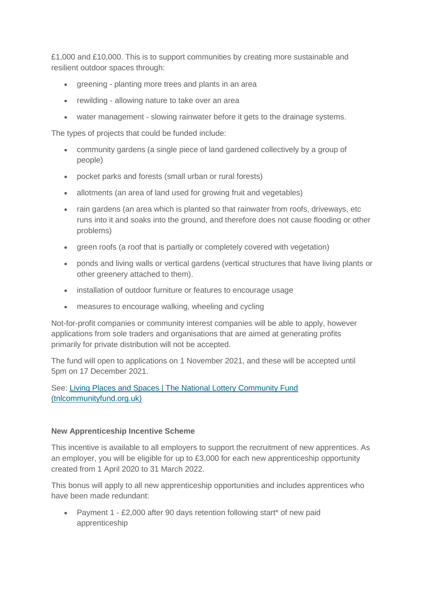£1,000 and £10,000. This is to support communities by creating more sustainable and resilient outdoor spaces through:

- greening planting more trees and plants in an area
- rewilding allowing nature to take over an area
- water management slowing rainwater before it gets to the drainage systems.

The types of projects that could be funded include:

- community gardens (a single piece of land gardened collectively by a group of people)
- pocket parks and forests (small urban or rural forests)
- allotments (an area of land used for growing fruit and vegetables)
- rain gardens (an area which is planted so that rainwater from roofs, driveways, etc runs into it and soaks into the ground, and therefore does not cause flooding or other problems)
- green roofs (a roof that is partially or completely covered with vegetation)
- ponds and living walls or vertical gardens (vertical structures that have living plants or other greenery attached to them).
- installation of outdoor furniture or features to encourage usage
- measures to encourage walking, wheeling and cycling

Not-for-profit companies or community interest companies will be able to apply, however applications from sole traders and organisations that are aimed at generating profits primarily for private distribution will not be accepted.

The fund will open to applications on 1 November 2021, and these will be accepted until 5pm on 17 December 2021.

See: [Living Places and Spaces | The National Lottery Community Fund](https://www.tnlcommunityfund.org.uk/funding/programmes/living-places-and-spaces)  [\(tnlcommunityfund.org.uk\)](https://www.tnlcommunityfund.org.uk/funding/programmes/living-places-and-spaces)

## **New Apprenticeship Incentive Scheme**

This incentive is available to all employers to support the recruitment of new apprentices. As an employer, you will be eligible for up to £3,000 for each new apprenticeship opportunity created from 1 April 2020 to 31 March 2022.

This bonus will apply to all new apprenticeship opportunities and includes apprentices who have been made redundant:

 Payment 1 - £2,000 after 90 days retention following start\* of new paid apprenticeship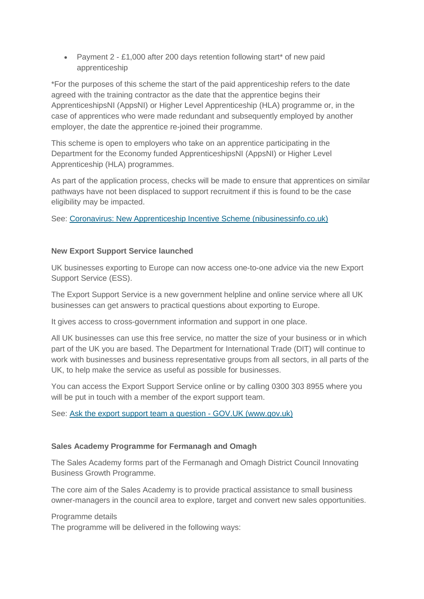Payment 2 - £1,000 after 200 days retention following start\* of new paid apprenticeship

\*For the purposes of this scheme the start of the paid apprenticeship refers to the date agreed with the training contractor as the date that the apprentice begins their ApprenticeshipsNI (AppsNI) or Higher Level Apprenticeship (HLA) programme or, in the case of apprentices who were made redundant and subsequently employed by another employer, the date the apprentice re-joined their programme.

This scheme is open to employers who take on an apprentice participating in the Department for the Economy funded ApprenticeshipsNI (AppsNI) or Higher Level Apprenticeship (HLA) programmes.

As part of the application process, checks will be made to ensure that apprentices on similar pathways have not been displaced to support recruitment if this is found to be the case eligibility may be impacted.

See: [Coronavirus: New Apprenticeship Incentive Scheme \(nibusinessinfo.co.uk\)](https://www.nibusinessinfo.co.uk/content/coronavirus-new-apprenticeship-incentive-scheme)

# **New Export Support Service launched**

UK businesses exporting to Europe can now access one-to-one advice via the new Export Support Service (ESS).

The Export Support Service is a new government helpline and online service where all UK businesses can get answers to practical questions about exporting to Europe.

It gives access to cross-government information and support in one place.

All UK businesses can use this free service, no matter the size of your business or in which part of the UK you are based. The Department for International Trade (DIT) will continue to work with businesses and business representative groups from all sectors, in all parts of the UK, to help make the service as useful as possible for businesses.

You can access the Export Support Service online or by calling 0300 303 8955 where you will be put in touch with a member of the export support team.

See: [Ask the export support team a question -](https://www.gov.uk/ask-export-support-team) GOV.UK (www.gov.uk)

## **Sales Academy Programme for Fermanagh and Omagh**

The Sales Academy forms part of the Fermanagh and Omagh District Council Innovating Business Growth Programme.

The core aim of the Sales Academy is to provide practical assistance to small business owner-managers in the council area to explore, target and convert new sales opportunities.

Programme details

The programme will be delivered in the following ways: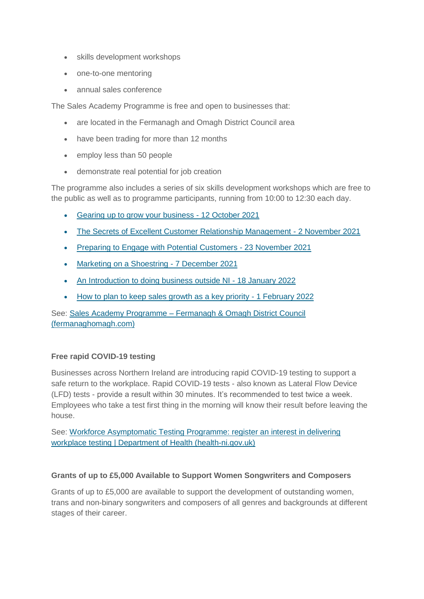- skills development workshops
- one-to-one mentoring
- annual sales conference

The Sales Academy Programme is free and open to businesses that:

- are located in the Fermanagh and Omagh District Council area
- have been trading for more than 12 months
- employ less than 50 people
- demonstrate real potential for job creation

The programme also includes a series of six skills development workshops which are free to the public as well as to programme participants, running from 10:00 to 12:30 each day.

- [Gearing up to grow your business -](https://www.events.nibusinessinfo.co.uk/en/events/gearing-up-to-grow-your-business-sales-academy-workshop/) 12 October 2021
- [The Secrets of Excellent Customer Relationship Management -](https://www.events.nibusinessinfo.co.uk/en/events/the-secrets-of-excellent-customer-relationship-management-sales-academy-workshop/) 2 November 2021
- [Preparing to Engage with Potential Customers -](https://www.events.nibusinessinfo.co.uk/en/events/preparing-to-engage-with-potential-customers-sales-academy-workshop/) 23 November 2021
- [Marketing on a Shoestring -](https://www.events.nibusinessinfo.co.uk/en/events/marketing-on-a-shoestring-sales-academy-workshop/) 7 December 2021
- [An Introduction to doing business outside NI -](https://www.events.nibusinessinfo.co.uk/en/events/an-introduction-to-doing-business-outside-ni-sales-academy-workshop/) 18 January 2022
- [How to plan to keep sales growth as a key priority -](https://www.events.nibusinessinfo.co.uk/en/events/how-to-plan-to-keep-sales-growth-as-a-key-priority-sales-academy-workshop/) 1 February 2022

See: Sales Academy Programme – [Fermanagh & Omagh District Council](https://www.fermanaghomagh.com/services/business/business-support/supporting-business-and-employment/sales-academy-programme/)  [\(fermanaghomagh.com\)](https://www.fermanaghomagh.com/services/business/business-support/supporting-business-and-employment/sales-academy-programme/)

## **Free rapid COVID-19 testing**

Businesses across Northern Ireland are introducing rapid COVID-19 testing to support a safe return to the workplace. Rapid COVID-19 tests - also known as Lateral Flow Device (LFD) tests - provide a result within 30 minutes. It's recommended to test twice a week. Employees who take a test first thing in the morning will know their result before leaving the house.

See: [Workforce Asymptomatic Testing Programme: register an interest in delivering](https://www.health-ni.gov.uk/forms/workforce-asymptomatic-testing-programme-register-interest)  [workplace testing | Department of Health \(health-ni.gov.uk\)](https://www.health-ni.gov.uk/forms/workforce-asymptomatic-testing-programme-register-interest)

## **Grants of up to £5,000 Available to Support Women Songwriters and Composers**

Grants of up to £5,000 are available to support the development of outstanding women, trans and non-binary songwriters and composers of all genres and backgrounds at different stages of their career.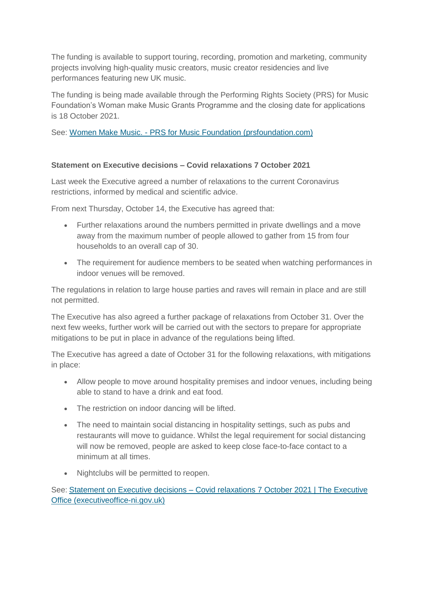The funding is available to support touring, recording, promotion and marketing, community projects involving high-quality music creators, music creator residencies and live performances featuring new UK music.

The funding is being made available through the Performing Rights Society (PRS) for Music Foundation's Woman make Music Grants Programme and the closing date for applications is 18 October 2021.

See: Women Make Music. - [PRS for Music Foundation \(prsfoundation.com\)](https://prsfoundation.com/funding-support/funding-music-creators/all-career-levels/women-make-music-2/)

# **Statement on Executive decisions – Covid relaxations 7 October 2021**

Last week the Executive agreed a number of relaxations to the current Coronavirus restrictions, informed by medical and scientific advice.

From next Thursday, October 14, the Executive has agreed that:

- Further relaxations around the numbers permitted in private dwellings and a move away from the maximum number of people allowed to gather from 15 from four households to an overall cap of 30.
- The requirement for audience members to be seated when watching performances in indoor venues will be removed.

The regulations in relation to large house parties and raves will remain in place and are still not permitted.

The Executive has also agreed a further package of relaxations from October 31. Over the next few weeks, further work will be carried out with the sectors to prepare for appropriate mitigations to be put in place in advance of the regulations being lifted.

The Executive has agreed a date of October 31 for the following relaxations, with mitigations in place:

- Allow people to move around hospitality premises and indoor venues, including being able to stand to have a drink and eat food.
- The restriction on indoor dancing will be lifted.
- The need to maintain social distancing in hospitality settings, such as pubs and restaurants will move to guidance. Whilst the legal requirement for social distancing will now be removed, people are asked to keep close face-to-face contact to a minimum at all times.
- Nightclubs will be permitted to reopen.

See: Statement on Executive decisions – [Covid relaxations 7 October 2021 | The Executive](http://www.executiveoffice-ni.gov.uk/news/statement-executive-decisions-covid-relaxations-7-october-2021)  [Office \(executiveoffice-ni.gov.uk\)](http://www.executiveoffice-ni.gov.uk/news/statement-executive-decisions-covid-relaxations-7-october-2021)